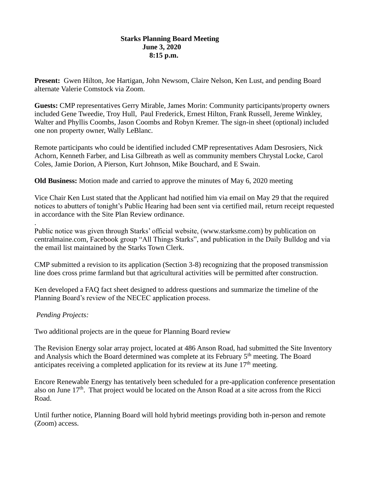## **Starks Planning Board Meeting June 3, 2020 8:15 p.m.**

**Present:** Gwen Hilton, Joe Hartigan, John Newsom, Claire Nelson, Ken Lust, and pending Board alternate Valerie Comstock via Zoom.

**Guests:** CMP representatives Gerry Mirable, James Morin: Community participants/property owners included Gene Tweedie, Troy Hull, Paul Frederick, Ernest Hilton, Frank Russell, Jereme Winkley, Walter and Phyllis Coombs, Jason Coombs and Robyn Kremer. The sign-in sheet (optional) included one non property owner, Wally LeBlanc.

Remote participants who could be identified included CMP representatives Adam Desrosiers, Nick Achorn, Kenneth Farber, and Lisa Gilbreath as well as community members Chrystal Locke, Carol Coles, Jamie Dorion, A Pierson, Kurt Johnson, Mike Bouchard, and E Swain.

**Old Business:** Motion made and carried to approve the minutes of May 6, 2020 meeting

Vice Chair Ken Lust stated that the Applicant had notified him via email on May 29 that the required notices to abutters of tonight's Public Hearing had been sent via certified mail, return receipt requested in accordance with the Site Plan Review ordinance.

Public notice was given through Starks' official website, [\(www.starksme.com\)](http://www.starksme.com/) by publication on centralmaine.com, Facebook group "All Things Starks", and publication in the Daily Bulldog and via the email list maintained by the Starks Town Clerk.

CMP submitted a revision to its application (Section 3-8) recognizing that the proposed transmission line does cross prime farmland but that agricultural activities will be permitted after construction.

Ken developed a FAQ fact sheet designed to address questions and summarize the timeline of the Planning Board's review of the NECEC application process.

## *Pending Projects:*

.

Two additional projects are in the queue for Planning Board review

The Revision Energy solar array project, located at 486 Anson Road, had submitted the Site Inventory and Analysis which the Board determined was complete at its February 5<sup>th</sup> meeting. The Board anticipates receiving a completed application for its review at its June  $17<sup>th</sup>$  meeting.

Encore Renewable Energy has tentatively been scheduled for a pre-application conference presentation also on June  $17<sup>th</sup>$ . That project would be located on the Anson Road at a site across from the Ricci Road.

Until further notice, Planning Board will hold hybrid meetings providing both in-person and remote (Zoom) access.